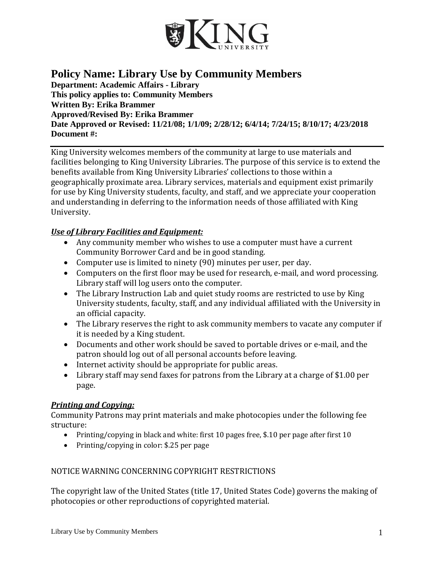

# **Policy Name: Library Use by Community Members**

**Department: Academic Affairs - Library This policy applies to: Community Members Written By: Erika Brammer Approved/Revised By: Erika Brammer Date Approved or Revised: 11/21/08; 1/1/09; 2/28/12; 6/4/14; 7/24/15; 8/10/17; 4/23/2018 Document #:** 

King University welcomes members of the community at large to use materials and facilities belonging to King University Libraries. The purpose of this service is to extend the benefits available from King University Libraries' collections to those within a geographically proximate area. Library services, materials and equipment exist primarily for use by King University students, faculty, and staff, and we appreciate your cooperation and understanding in deferring to the information needs of those affiliated with King University.

### *Use of Library Facilities and Equipment:*

- Any community member who wishes to use a computer must have a current Community Borrower Card and be in good standing.
- Computer use is limited to ninety (90) minutes per user, per day.
- Computers on the first floor may be used for research, e-mail, and word processing. Library staff will log users onto the computer.
- The Library Instruction Lab and quiet study rooms are restricted to use by King University students, faculty, staff, and any individual affiliated with the University in an official capacity.
- The Library reserves the right to ask community members to vacate any computer if it is needed by a King student.
- Documents and other work should be saved to portable drives or e-mail, and the patron should log out of all personal accounts before leaving.
- Internet activity should be appropriate for public areas.
- Library staff may send faxes for patrons from the Library at a charge of \$1.00 per page.

## *Printing and Copying:*

Community Patrons may print materials and make photocopies under the following fee structure:

- Printing/copying in black and white: first 10 pages free, \$.10 per page after first 10
- Printing/copying in color: \$.25 per page

## NOTICE WARNING CONCERNING COPYRIGHT RESTRICTIONS

The copyright law of the United States (title 17, United States Code) governs the making of photocopies or other reproductions of copyrighted material.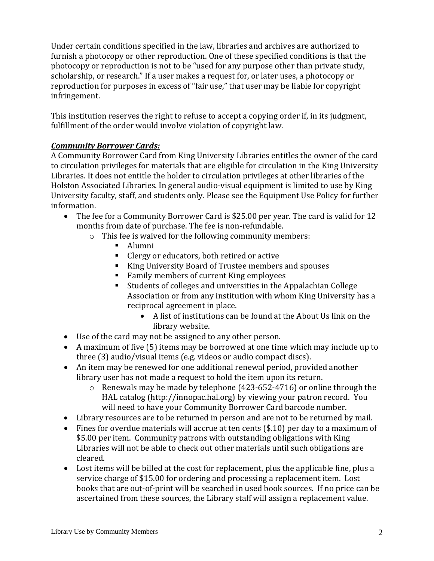Under certain conditions specified in the law, libraries and archives are authorized to furnish a photocopy or other reproduction. One of these specified conditions is that the photocopy or reproduction is not to be "used for any purpose other than private study, scholarship, or research." If a user makes a request for, or later uses, a photocopy or reproduction for purposes in excess of "fair use," that user may be liable for copyright infringement.

This institution reserves the right to refuse to accept a copying order if, in its judgment, fulfillment of the order would involve violation of copyright law.

## *Community Borrower Cards:*

A Community Borrower Card from King University Libraries entitles the owner of the card to circulation privileges for materials that are eligible for circulation in the King University Libraries. It does not entitle the holder to circulation privileges at other libraries of the Holston Associated Libraries. In general audio-visual equipment is limited to use by King University faculty, staff, and students only. Please see the Equipment Use Policy for further information.

- The fee for a Community Borrower Card is \$25.00 per year. The card is valid for 12 months from date of purchase. The fee is non-refundable.
	- o This fee is waived for the following community members:
		- Alumni
		- Clergy or educators, both retired or active
		- King University Board of Trustee members and spouses
		- Family members of current King employees
		- Students of colleges and universities in the Appalachian College Association or from any institution with whom King University has a reciprocal agreement in place.
			- A list of institutions can be found at the About Us link on the library website.
- Use of the card may not be assigned to any other person.
- A maximum of five (5) items may be borrowed at one time which may include up to three (3) audio/visual items (e.g. videos or audio compact discs).
- An item may be renewed for one additional renewal period, provided another library user has not made a request to hold the item upon its return.
	- o Renewals may be made by telephone (423-652-4716) or online through the HAL catalog (http://innopac.hal.org) by viewing your patron record. You will need to have your Community Borrower Card barcode number.
- Library resources are to be returned in person and are not to be returned by mail.
- Fines for overdue materials will accrue at ten cents (\$.10) per day to a maximum of \$5.00 per item. Community patrons with outstanding obligations with King Libraries will not be able to check out other materials until such obligations are cleared.
- Lost items will be billed at the cost for replacement, plus the applicable fine, plus a service charge of \$15.00 for ordering and processing a replacement item. Lost books that are out-of-print will be searched in used book sources. If no price can be ascertained from these sources, the Library staff will assign a replacement value.